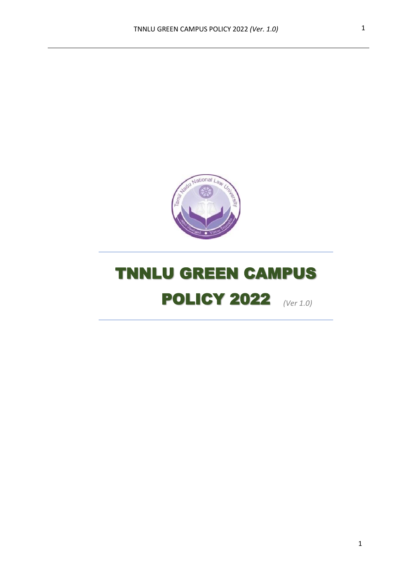

# **POLICY 2022** (Ver 1.0) TNNLU GREEN CAMPUS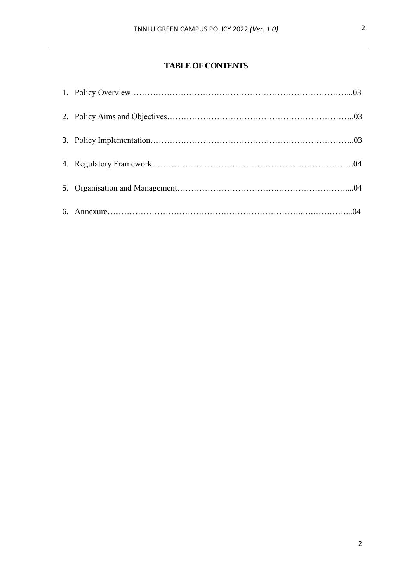## **TABLE OF CONTENTS**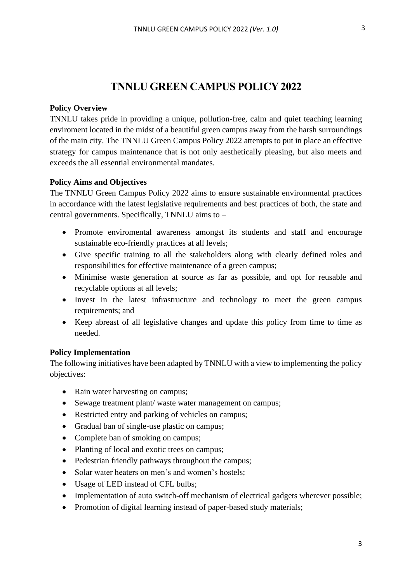# **TNNLU GREEN CAMPUS POLICY 2022**

#### **Policy Overview**

TNNLU takes pride in providing a unique, pollution-free, calm and quiet teaching learning enviroment located in the midst of a beautiful green campus away from the harsh surroundings of the main city. The TNNLU Green Campus Policy 2022 attempts to put in place an effective strategy for campus maintenance that is not only aesthetically pleasing, but also meets and exceeds the all essential environmental mandates.

#### **Policy Aims and Objectives**

The TNNLU Green Campus Policy 2022 aims to ensure sustainable environmental practices in accordance with the latest legislative requirements and best practices of both, the state and central governments. Specifically, TNNLU aims to –

- Promote enviromental awareness amongst its students and staff and encourage sustainable eco-friendly practices at all levels;
- Give specific training to all the stakeholders along with clearly defined roles and responsibilities for effective maintenance of a green campus;
- Minimise waste generation at source as far as possible, and opt for reusable and recyclable options at all levels;
- Invest in the latest infrastructure and technology to meet the green campus requirements; and
- Keep abreast of all legislative changes and update this policy from time to time as needed.

## **Policy Implementation**

The following initiatives have been adapted by TNNLU with a view to implementing the policy objectives:

- Rain water harvesting on campus;
- Sewage treatment plant/ waste water management on campus;
- Restricted entry and parking of vehicles on campus;
- Gradual ban of single-use plastic on campus;
- Complete ban of smoking on campus;
- Planting of local and exotic trees on campus;
- Pedestrian friendly pathways throughout the campus;
- Solar water heaters on men's and women's hostels;
- Usage of LED instead of CFL bulbs;
- Implementation of auto switch-off mechanism of electrical gadgets wherever possible;
- Promotion of digital learning instead of paper-based study materials;